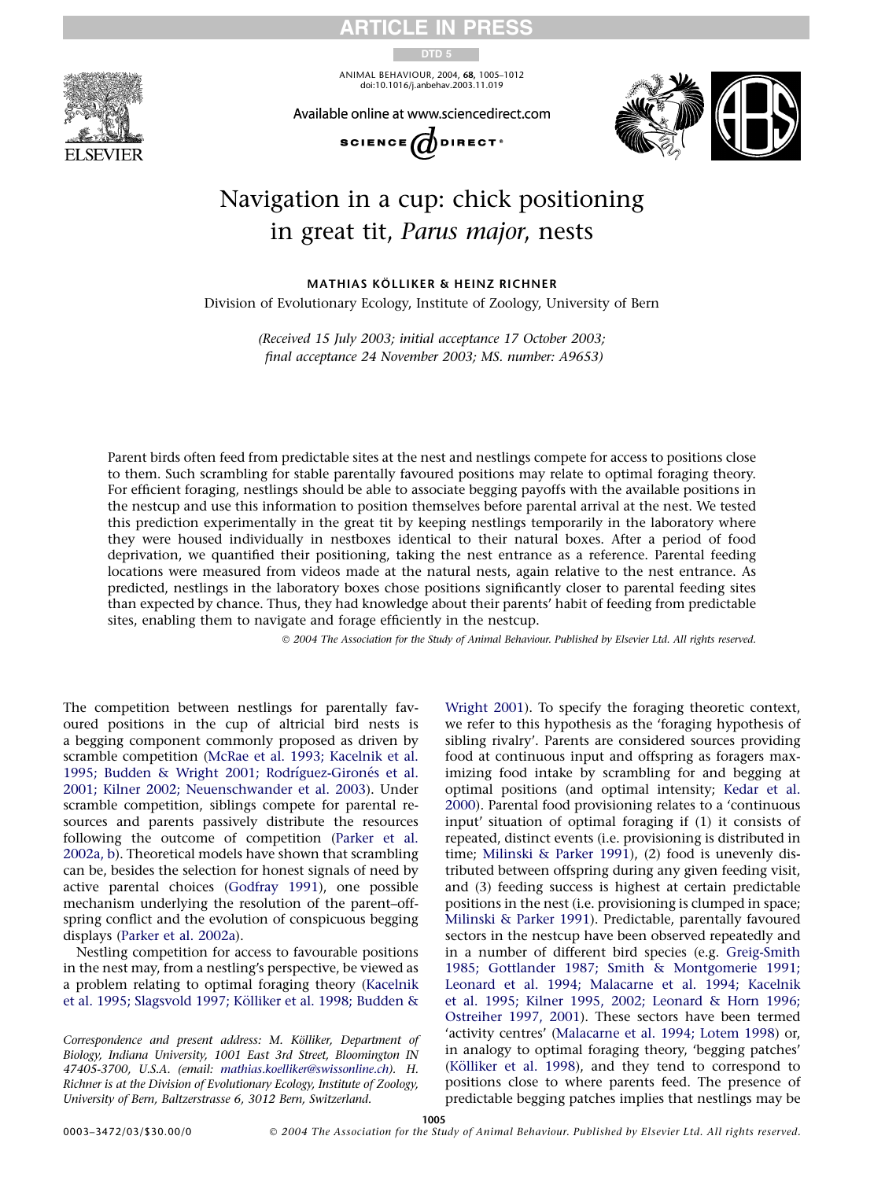

ARTICLE IN PRESS

DTD 5

ANIMAL BEHAVIOUR, 2004, 68, 1005–1012 doi:10.1016/j.anbehav.2003.11.019





# Navigation in a cup: chick positioning in great tit, Parus major, nests

MATHIAS KÖLLIKER & HEINZ RICHNER Division of Evolutionary Ecology, Institute of Zoology, University of Bern

> (Received 15 July 2003; initial acceptance 17 October 2003; final acceptance 24 November 2003; MS. number: A9653)

Parent birds often feed from predictable sites at the nest and nestlings compete for access to positions close to them. Such scrambling for stable parentally favoured positions may relate to optimal foraging theory. For efficient foraging, nestlings should be able to associate begging payoffs with the available positions in the nestcup and use this information to position themselves before parental arrival at the nest. We tested this prediction experimentally in the great tit by keeping nestlings temporarily in the laboratory where they were housed individually in nestboxes identical to their natural boxes. After a period of food deprivation, we quantified their positioning, taking the nest entrance as a reference. Parental feeding locations were measured from videos made at the natural nests, again relative to the nest entrance. As predicted, nestlings in the laboratory boxes chose positions significantly closer to parental feeding sites than expected by chance. Thus, they had knowledge about their parents' habit of feeding from predictable sites, enabling them to navigate and forage efficiently in the nestcup.

2004 The Association for the Study of Animal Behaviour. Published by Elsevier Ltd. All rights reserved.

The competition between nestlings for parentally favoured positions in the cup of altricial bird nests is a begging component commonly proposed as driven by scramble competition ([McRae et al. 1993; Kacelnik et al.](#page-7-0) 1995; Budden & Wright 2001; Rodríguez-Gironés et al. [2001; Kilner 2002; Neuenschwander et al. 2003](#page-7-0)). Under scramble competition, siblings compete for parental resources and parents passively distribute the resources following the outcome of competition ([Parker et al.](#page-7-0) [2002a, b](#page-7-0)). Theoretical models have shown that scrambling can be, besides the selection for honest signals of need by active parental choices ([Godfray 1991](#page-6-0)), one possible mechanism underlying the resolution of the parent–offspring conflict and the evolution of conspicuous begging displays [\(Parker et al. 2002a](#page-7-0)).

Nestling competition for access to favourable positions in the nest may, from a nestling's perspective, be viewed as a problem relating to optimal foraging theory [\(Kacelnik](#page-6-0) et al. 1995; Slagsvold 1997; Kölliker et al. 1998; Budden &

Correspondence and present address: M. Kölliker, Department of Biology, Indiana University, 1001 East 3rd Street, Bloomington IN 47405-3700, U.S.A. (email: [mathias.koelliker@swissonline.ch\)](mailto:mathias.koelliker@swissonline.ch). H. Richner is at the Division of Evolutionary Ecology, Institute of Zoology, University of Bern, Baltzerstrasse 6, 3012 Bern, Switzerland.

[Wright 2001\)](#page-6-0). To specify the foraging theoretic context, we refer to this hypothesis as the 'foraging hypothesis of sibling rivalry'. Parents are considered sources providing food at continuous input and offspring as foragers maximizing food intake by scrambling for and begging at optimal positions (and optimal intensity; [Kedar et al.](#page-6-0) [2000](#page-6-0)). Parental food provisioning relates to a 'continuous input' situation of optimal foraging if (1) it consists of repeated, distinct events (i.e. provisioning is distributed in time; [Milinski & Parker 1991\)](#page-7-0), (2) food is unevenly distributed between offspring during any given feeding visit, and (3) feeding success is highest at certain predictable positions in the nest (i.e. provisioning is clumped in space; [Milinski & Parker 1991](#page-7-0)). Predictable, parentally favoured sectors in the nestcup have been observed repeatedly and in a number of different bird species (e.g. [Greig-Smith](#page-6-0) [1985; Gottlander 1987; Smith & Montgomerie 1991;](#page-6-0) [Leonard et al. 1994; Malacarne et al. 1994; Kacelnik](#page-6-0) [et al. 1995; Kilner 1995, 2002; Leonard & Horn 1996;](#page-6-0) [Ostreiher 1997, 2001](#page-6-0)). These sectors have been termed 'activity centres' [\(Malacarne et al. 1994; Lotem 1998](#page-7-0)) or, in analogy to optimal foraging theory, 'begging patches' (Kölliker et al. 1998), and they tend to correspond to positions close to where parents feed. The presence of predictable begging patches implies that nestlings may be

1005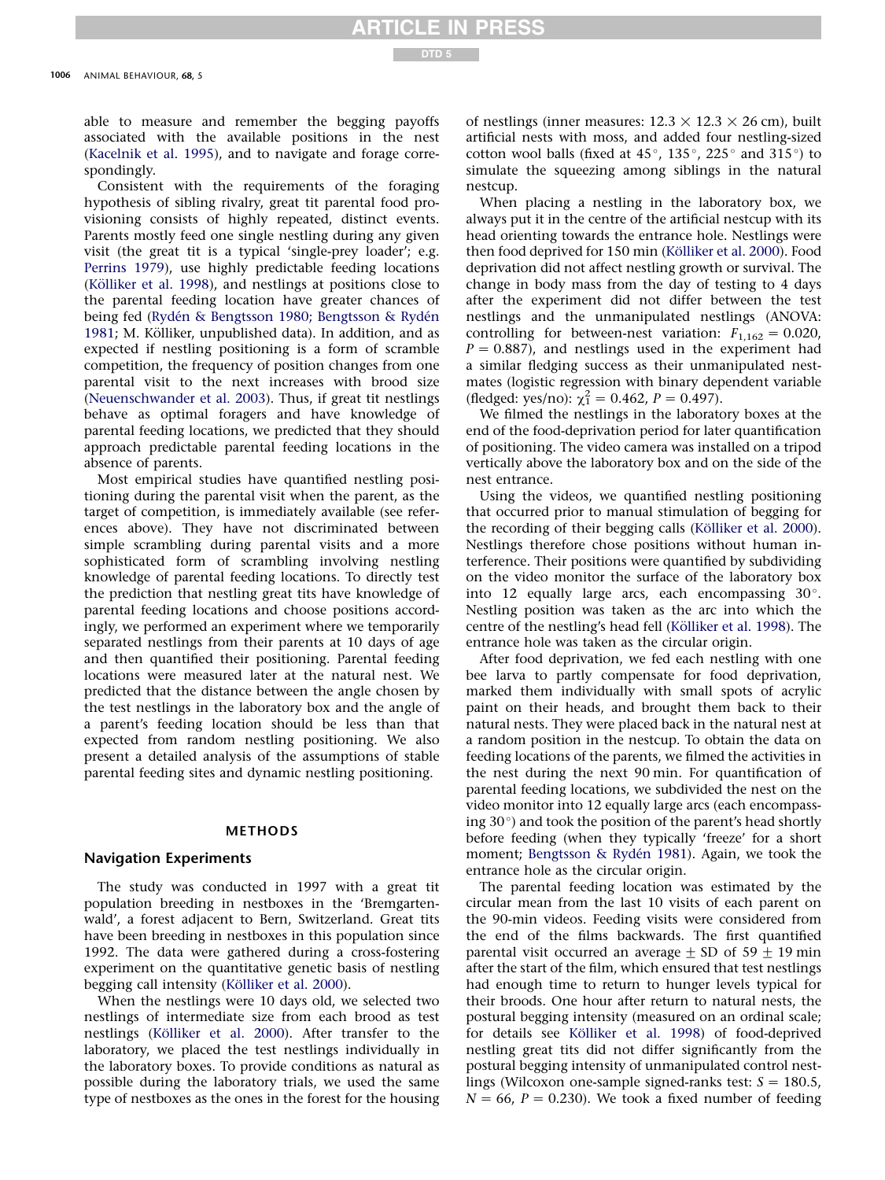able to measure and remember the begging payoffs associated with the available positions in the nest ([Kacelnik et al. 1995](#page-6-0)), and to navigate and forage correspondingly.

Consistent with the requirements of the foraging hypothesis of sibling rivalry, great tit parental food provisioning consists of highly repeated, distinct events. Parents mostly feed one single nestling during any given visit (the great tit is a typical 'single-prey loader'; e.g. [Perrins 1979\)](#page-7-0), use highly predictable feeding locations (Kölliker et al. 1998), and nestlings at positions close to the parental feeding location have greater chances of being fed (Rydén & Bengtsson 1980; Bengtsson & Rydén [1981](#page-7-0); M. Kölliker, unpublished data). In addition, and as expected if nestling positioning is a form of scramble competition, the frequency of position changes from one parental visit to the next increases with brood size ([Neuenschwander et al. 2003\)](#page-7-0). Thus, if great tit nestlings behave as optimal foragers and have knowledge of parental feeding locations, we predicted that they should approach predictable parental feeding locations in the absence of parents.

Most empirical studies have quantified nestling positioning during the parental visit when the parent, as the target of competition, is immediately available (see references above). They have not discriminated between simple scrambling during parental visits and a more sophisticated form of scrambling involving nestling knowledge of parental feeding locations. To directly test the prediction that nestling great tits have knowledge of parental feeding locations and choose positions accordingly, we performed an experiment where we temporarily separated nestlings from their parents at 10 days of age and then quantified their positioning. Parental feeding locations were measured later at the natural nest. We predicted that the distance between the angle chosen by the test nestlings in the laboratory box and the angle of a parent's feeding location should be less than that expected from random nestling positioning. We also present a detailed analysis of the assumptions of stable parental feeding sites and dynamic nestling positioning.

#### METHODS

### Navigation Experiments

The study was conducted in 1997 with a great tit population breeding in nestboxes in the 'Bremgartenwald', a forest adjacent to Bern, Switzerland. Great tits have been breeding in nestboxes in this population since 1992. The data were gathered during a cross-fostering experiment on the quantitative genetic basis of nestling begging call intensity (Kölliker et al. 2000).

When the nestlings were 10 days old, we selected two nestlings of intermediate size from each brood as test nestlings (Kölliker et al. 2000). After transfer to the laboratory, we placed the test nestlings individually in the laboratory boxes. To provide conditions as natural as possible during the laboratory trials, we used the same type of nestboxes as the ones in the forest for the housing of nestlings (inner measures:  $12.3 \times 12.3 \times 26$  cm), built artificial nests with moss, and added four nestling-sized cotton wool balls (fixed at 45 $^{\circ}$ , 135 $^{\circ}$ , 225 $^{\circ}$  and 315 $^{\circ}$ ) to simulate the squeezing among siblings in the natural nestcup.

When placing a nestling in the laboratory box, we always put it in the centre of the artificial nestcup with its head orienting towards the entrance hole. Nestlings were then food deprived for 150 min (Kölliker et al. 2000). Food deprivation did not affect nestling growth or survival. The change in body mass from the day of testing to 4 days after the experiment did not differ between the test nestlings and the unmanipulated nestlings (ANOVA: controlling for between-nest variation:  $F_{1,162} = 0.020$ ,  $P = 0.887$ ), and nestlings used in the experiment had a similar fledging success as their unmanipulated nestmates (logistic regression with binary dependent variable (fledged: yes/no):  $\chi_1^2 = 0.462$ ,  $P = 0.497$ ).

We filmed the nestlings in the laboratory boxes at the end of the food-deprivation period for later quantification of positioning. The video camera was installed on a tripod vertically above the laboratory box and on the side of the nest entrance.

Using the videos, we quantified nestling positioning that occurred prior to manual stimulation of begging for the recording of their begging calls (Kölliker et al. 2000). Nestlings therefore chose positions without human interference. Their positions were quantified by subdividing on the video monitor the surface of the laboratory box into 12 equally large arcs, each encompassing 30°. Nestling position was taken as the arc into which the centre of the nestling's head fell (Kölliker et al. 1998). The entrance hole was taken as the circular origin.

After food deprivation, we fed each nestling with one bee larva to partly compensate for food deprivation, marked them individually with small spots of acrylic paint on their heads, and brought them back to their natural nests. They were placed back in the natural nest at a random position in the nestcup. To obtain the data on feeding locations of the parents, we filmed the activities in the nest during the next 90 min. For quantification of parental feeding locations, we subdivided the nest on the video monitor into 12 equally large arcs (each encompassing  $30^{\circ}$ ) and took the position of the parent's head shortly before feeding (when they typically 'freeze' for a short moment; Bengtsson & Rydén 1981). Again, we took the entrance hole as the circular origin.

The parental feeding location was estimated by the circular mean from the last 10 visits of each parent on the 90-min videos. Feeding visits were considered from the end of the films backwards. The first quantified parental visit occurred an average  $\pm$  SD of 59  $\pm$  19 min after the start of the film, which ensured that test nestlings had enough time to return to hunger levels typical for their broods. One hour after return to natural nests, the postural begging intensity (measured on an ordinal scale; for details see Kölliker et al. 1998) of food-deprived nestling great tits did not differ significantly from the postural begging intensity of unmanipulated control nestlings (Wilcoxon one-sample signed-ranks test:  $S = 180.5$ ,  $N = 66$ ,  $P = 0.230$ ). We took a fixed number of feeding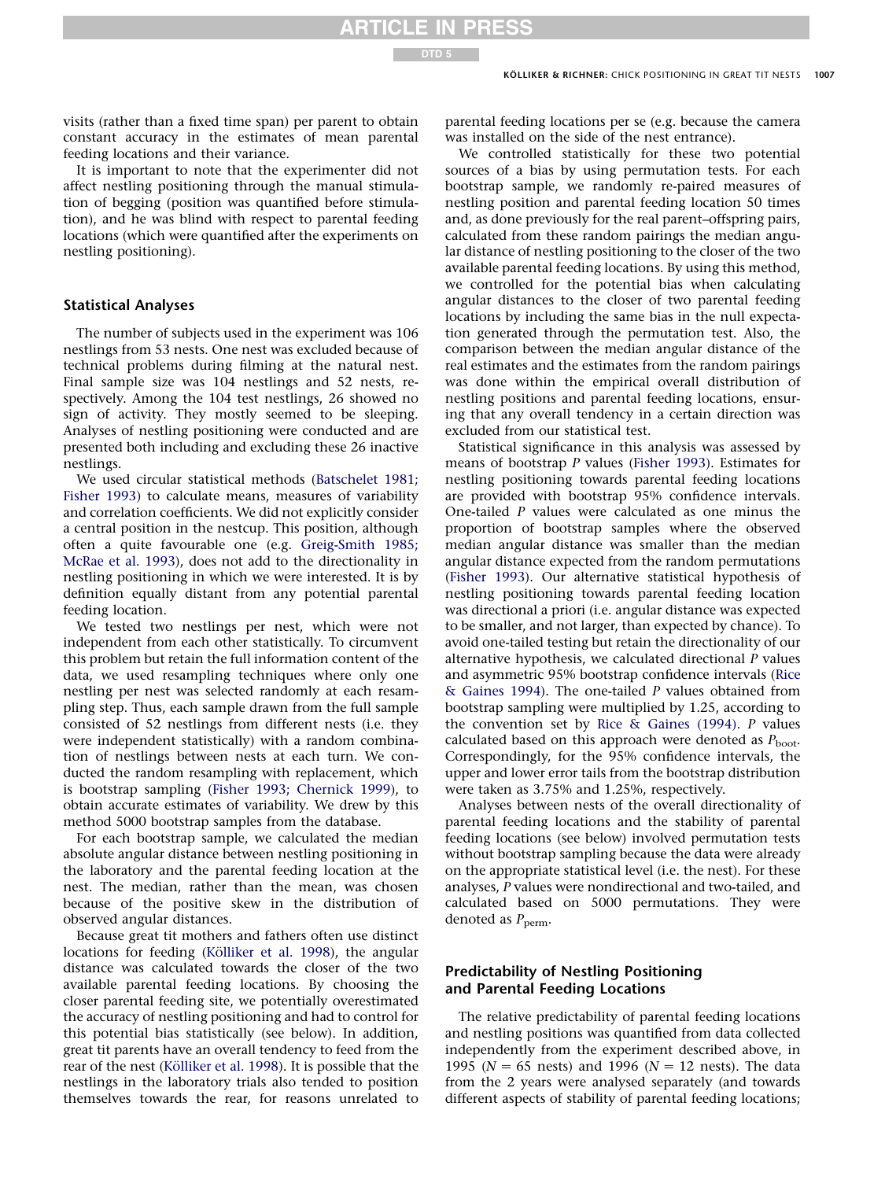visits (rather than a fixed time span) per parent to obtain constant accuracy in the estimates of mean parental feeding locations and their variance.

It is important to note that the experimenter did not affect nestling positioning through the manual stimulation of begging (position was quantified before stimulation), and he was blind with respect to parental feeding locations (which were quantified after the experiments on nestling positioning).

#### Statistical Analyses

The number of subjects used in the experiment was 106 nestlings from 53 nests. One nest was excluded because of technical problems during filming at the natural nest. Final sample size was 104 nestlings and 52 nests, respectively. Among the 104 test nestlings, 26 showed no sign of activity. They mostly seemed to be sleeping. Analyses of nestling positioning were conducted and are presented both including and excluding these 26 inactive nestlings.

We used circular statistical methods ([Batschelet 1981;](#page-6-0) [Fisher 1993\)](#page-6-0) to calculate means, measures of variability and correlation coefficients. We did not explicitly consider a central position in the nestcup. This position, although often a quite favourable one (e.g. [Greig-Smith 1985;](#page-6-0) [McRae et al. 1993](#page-6-0)), does not add to the directionality in nestling positioning in which we were interested. It is by definition equally distant from any potential parental feeding location.

We tested two nestlings per nest, which were not independent from each other statistically. To circumvent this problem but retain the full information content of the data, we used resampling techniques where only one nestling per nest was selected randomly at each resampling step. Thus, each sample drawn from the full sample consisted of 52 nestlings from different nests (i.e. they were independent statistically) with a random combination of nestlings between nests at each turn. We conducted the random resampling with replacement, which is bootstrap sampling ([Fisher 1993; Chernick 1999\)](#page-6-0), to obtain accurate estimates of variability. We drew by this method 5000 bootstrap samples from the database.

For each bootstrap sample, we calculated the median absolute angular distance between nestling positioning in the laboratory and the parental feeding location at the nest. The median, rather than the mean, was chosen because of the positive skew in the distribution of observed angular distances.

Because great tit mothers and fathers often use distinct locations for feeding (Kölliker et al. 1998), the angular distance was calculated towards the closer of the two available parental feeding locations. By choosing the closer parental feeding site, we potentially overestimated the accuracy of nestling positioning and had to control for this potential bias statistically (see below). In addition, great tit parents have an overall tendency to feed from the rear of the nest (Kölliker et al. 1998). It is possible that the nestlings in the laboratory trials also tended to position themselves towards the rear, for reasons unrelated to

parental feeding locations per se (e.g. because the camera was installed on the side of the nest entrance).

We controlled statistically for these two potential sources of a bias by using permutation tests. For each bootstrap sample, we randomly re-paired measures of nestling position and parental feeding location 50 times and, as done previously for the real parent–offspring pairs, calculated from these random pairings the median angular distance of nestling positioning to the closer of the two available parental feeding locations. By using this method, we controlled for the potential bias when calculating angular distances to the closer of two parental feeding locations by including the same bias in the null expectation generated through the permutation test. Also, the comparison between the median angular distance of the real estimates and the estimates from the random pairings was done within the empirical overall distribution of nestling positions and parental feeding locations, ensuring that any overall tendency in a certain direction was excluded from our statistical test.

Statistical significance in this analysis was assessed by means of bootstrap P values [\(Fisher 1993\)](#page-6-0). Estimates for nestling positioning towards parental feeding locations are provided with bootstrap 95% confidence intervals. One-tailed P values were calculated as one minus the proportion of bootstrap samples where the observed median angular distance was smaller than the median angular distance expected from the random permutations ([Fisher 1993](#page-6-0)). Our alternative statistical hypothesis of nestling positioning towards parental feeding location was directional a priori (i.e. angular distance was expected to be smaller, and not larger, than expected by chance). To avoid one-tailed testing but retain the directionality of our alternative hypothesis, we calculated directional P values and asymmetric 95% bootstrap confidence intervals ([Rice](#page-7-0) [& Gaines 1994\)](#page-7-0). The one-tailed P values obtained from bootstrap sampling were multiplied by 1.25, according to the convention set by [Rice & Gaines \(1994\).](#page-7-0) P values calculated based on this approach were denoted as  $P_{\text{boot}}$ . Correspondingly, for the 95% confidence intervals, the upper and lower error tails from the bootstrap distribution were taken as 3.75% and 1.25%, respectively.

Analyses between nests of the overall directionality of parental feeding locations and the stability of parental feeding locations (see below) involved permutation tests without bootstrap sampling because the data were already on the appropriate statistical level (i.e. the nest). For these analyses, P values were nondirectional and two-tailed, and calculated based on 5000 permutations. They were denoted as  $P_{\text{perm}}$ .

# Predictability of Nestling Positioning and Parental Feeding Locations

The relative predictability of parental feeding locations and nestling positions was quantified from data collected independently from the experiment described above, in 1995 ( $N = 65$  nests) and 1996 ( $N = 12$  nests). The data from the 2 years were analysed separately (and towards different aspects of stability of parental feeding locations;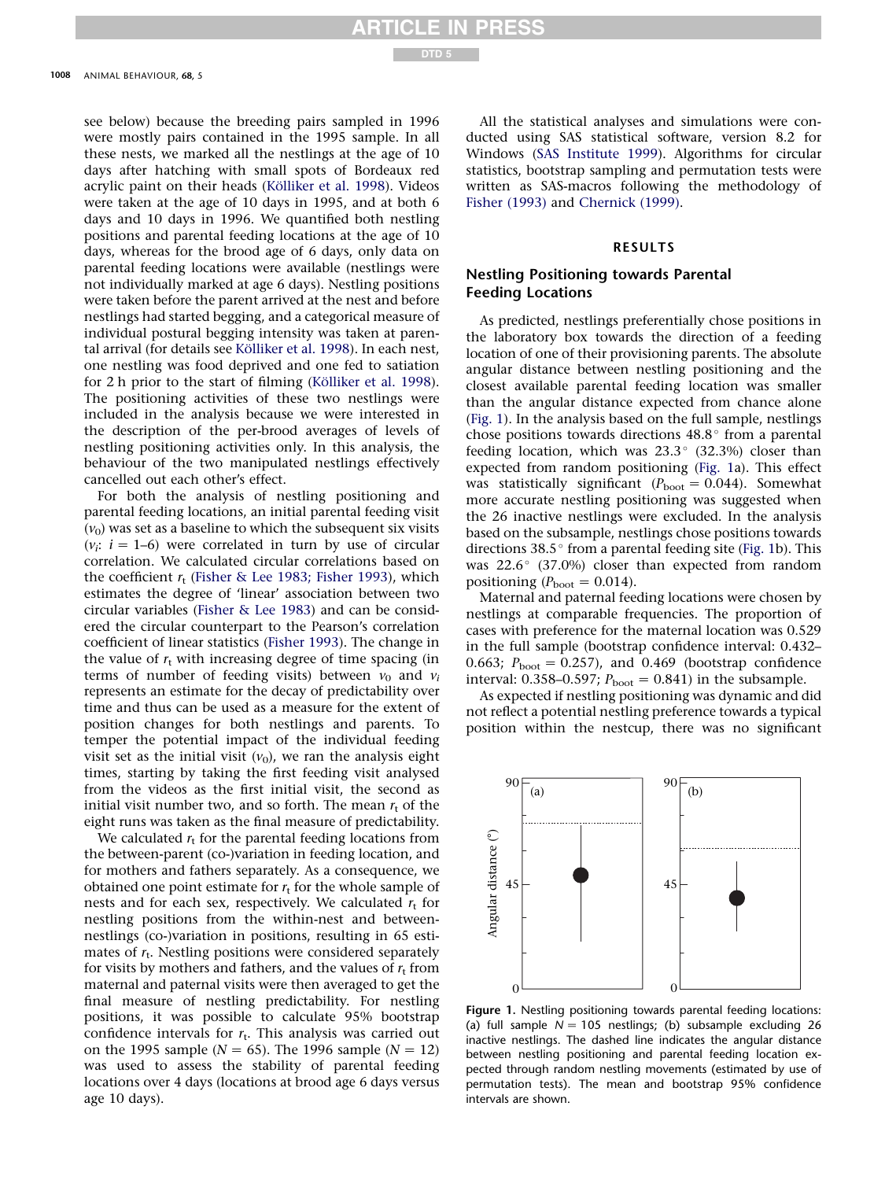see below) because the breeding pairs sampled in 1996 were mostly pairs contained in the 1995 sample. In all these nests, we marked all the nestlings at the age of 10 days after hatching with small spots of Bordeaux red acrylic paint on their heads (Kölliker et al. 1998). Videos were taken at the age of 10 days in 1995, and at both 6 days and 10 days in 1996. We quantified both nestling positions and parental feeding locations at the age of 10 days, whereas for the brood age of 6 days, only data on parental feeding locations were available (nestlings were not individually marked at age 6 days). Nestling positions were taken before the parent arrived at the nest and before nestlings had started begging, and a categorical measure of individual postural begging intensity was taken at parental arrival (for details see Kölliker et al. 1998). In each nest, one nestling was food deprived and one fed to satiation for 2 h prior to the start of filming (Kölliker et al. 1998). The positioning activities of these two nestlings were included in the analysis because we were interested in the description of the per-brood averages of levels of nestling positioning activities only. In this analysis, the behaviour of the two manipulated nestlings effectively cancelled out each other's effect.

For both the analysis of nestling positioning and parental feeding locations, an initial parental feeding visit  $(v_0)$  was set as a baseline to which the subsequent six visits  $(v_i: i = 1-6)$  were correlated in turn by use of circular correlation. We calculated circular correlations based on the coefficient  $r_t$  [\(Fisher & Lee 1983; Fisher 1993](#page-6-0)), which estimates the degree of 'linear' association between two circular variables ([Fisher & Lee 1983](#page-6-0)) and can be considered the circular counterpart to the Pearson's correlation coefficient of linear statistics [\(Fisher 1993](#page-6-0)). The change in the value of  $r_t$  with increasing degree of time spacing (in terms of number of feeding visits) between  $v_0$  and  $v_i$ represents an estimate for the decay of predictability over time and thus can be used as a measure for the extent of position changes for both nestlings and parents. To temper the potential impact of the individual feeding visit set as the initial visit  $(v_0)$ , we ran the analysis eight times, starting by taking the first feeding visit analysed from the videos as the first initial visit, the second as initial visit number two, and so forth. The mean  $r_t$  of the eight runs was taken as the final measure of predictability.

We calculated  $r_t$  for the parental feeding locations from the between-parent (co-)variation in feeding location, and for mothers and fathers separately. As a consequence, we obtained one point estimate for  $r_t$  for the whole sample of nests and for each sex, respectively. We calculated  $r_t$  for nestling positions from the within-nest and betweennestlings (co-)variation in positions, resulting in 65 estimates of  $r_t$ . Nestling positions were considered separately for visits by mothers and fathers, and the values of  $r_t$  from maternal and paternal visits were then averaged to get the final measure of nestling predictability. For nestling positions, it was possible to calculate 95% bootstrap confidence intervals for  $r_t$ . This analysis was carried out on the 1995 sample ( $N = 65$ ). The 1996 sample ( $N = 12$ ) was used to assess the stability of parental feeding locations over 4 days (locations at brood age 6 days versus age 10 days).

All the statistical analyses and simulations were conducted using SAS statistical software, version 8.2 for Windows [\(SAS Institute 1999\)](#page-7-0). Algorithms for circular statistics, bootstrap sampling and permutation tests were written as SAS-macros following the methodology of [Fisher \(1993\)](#page-6-0) and [Chernick \(1999\)](#page-6-0).

#### RESULTS

# Nestling Positioning towards Parental Feeding Locations

As predicted, nestlings preferentially chose positions in the laboratory box towards the direction of a feeding location of one of their provisioning parents. The absolute angular distance between nestling positioning and the closest available parental feeding location was smaller than the angular distance expected from chance alone (Fig. 1). In the analysis based on the full sample, nestlings chose positions towards directions  $48.8^\circ$  from a parental feeding location, which was  $23.3^{\circ}$  (32.3%) closer than expected from random positioning (Fig. 1a). This effect was statistically significant ( $P_{\text{boot}} = 0.044$ ). Somewhat more accurate nestling positioning was suggested when the 26 inactive nestlings were excluded. In the analysis based on the subsample, nestlings chose positions towards directions  $38.5^{\circ}$  from a parental feeding site (Fig. 1b). This was  $22.6^{\circ}$  (37.0%) closer than expected from random positioning ( $P_{\text{boot}} = 0.014$ ).

Maternal and paternal feeding locations were chosen by nestlings at comparable frequencies. The proportion of cases with preference for the maternal location was 0.529 in the full sample (bootstrap confidence interval: 0.432– 0.663;  $P_{\text{boot}} = 0.257$ ), and 0.469 (bootstrap confidence interval: 0.358–0.597;  $P_{\text{boot}} = 0.841$ ) in the subsample.

As expected if nestling positioning was dynamic and did not reflect a potential nestling preference towards a typical position within the nestcup, there was no significant



Figure 1. Nestling positioning towards parental feeding locations: (a) full sample  $N = 105$  nestlings; (b) subsample excluding 26 inactive nestlings. The dashed line indicates the angular distance between nestling positioning and parental feeding location expected through random nestling movements (estimated by use of permutation tests). The mean and bootstrap 95% confidence intervals are shown.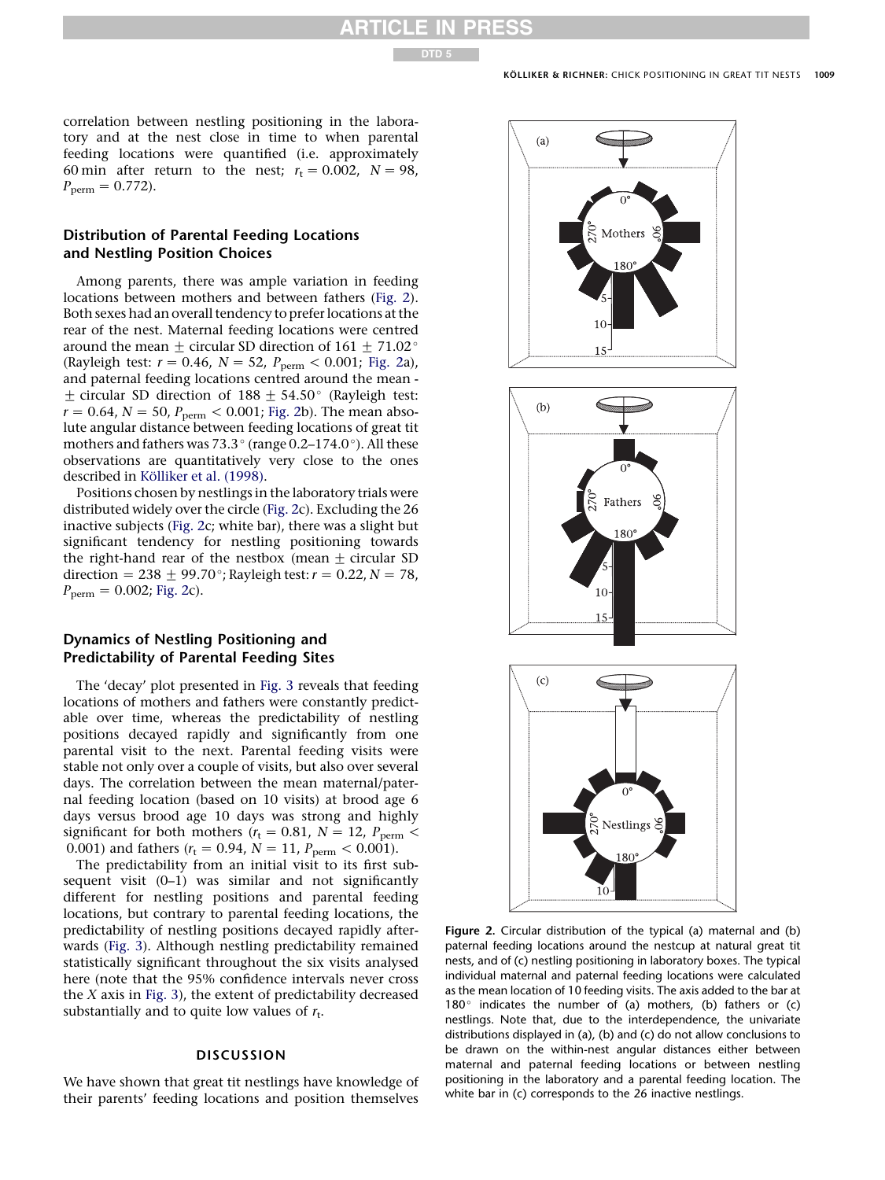<span id="page-4-0"></span>correlation between nestling positioning in the laboratory and at the nest close in time to when parental feeding locations were quantified (i.e. approximately 60 min after return to the nest;  $r_t = 0.002$ ,  $N = 98$ ,  $P_{\text{perm}} = 0.772$ .

# Distribution of Parental Feeding Locations and Nestling Position Choices

Among parents, there was ample variation in feeding locations between mothers and between fathers (Fig. 2). Both sexes had an overall tendency to prefer locations at the rear of the nest. Maternal feeding locations were centred around the mean  $\pm$  circular SD direction of 161  $\pm$  71.02 $^{\circ}$ (Rayleigh test:  $r = 0.46$ ,  $N = 52$ ,  $P_{perm} < 0.001$ ; Fig. 2a), and paternal feeding locations centred around the mean -  $\pm$  circular SD direction of 188  $\pm$  54.50° (Rayleigh test:  $r = 0.64$ ,  $N = 50$ ,  $P_{perm} < 0.001$ ; Fig. 2b). The mean absolute angular distance between feeding locations of great tit mothers and fathers was 73.3 $\degree$  (range 0.2–174.0 $\degree$ ). All these observations are quantitatively very close to the ones described in Kölliker et al. (1998).

Positions chosen by nestlings in the laboratory trials were distributed widely over the circle (Fig. 2c). Excluding the 26 inactive subjects (Fig. 2c; white bar), there was a slight but significant tendency for nestling positioning towards the right-hand rear of the nestbox (mean  $\pm$  circular SD direction = 238  $\pm$  99.70°; Rayleigh test:  $r = 0.22$ ,  $N = 78$ ,  $P_{\text{perm}} = 0.002$ ; Fig. 2c).

# Dynamics of Nestling Positioning and Predictability of Parental Feeding Sites

The 'decay' plot presented in [Fig. 3](#page-5-0) reveals that feeding locations of mothers and fathers were constantly predictable over time, whereas the predictability of nestling positions decayed rapidly and significantly from one parental visit to the next. Parental feeding visits were stable not only over a couple of visits, but also over several days. The correlation between the mean maternal/paternal feeding location (based on 10 visits) at brood age 6 days versus brood age 10 days was strong and highly significant for both mothers ( $r_t$  = 0.81, N = 12,  $P_{\text{perm}}$  < 0.001) and fathers ( $r_t = 0.94$ ,  $N = 11$ ,  $P_{perm} < 0.001$ ).

The predictability from an initial visit to its first subsequent visit  $(0-1)$  was similar and not significantly different for nestling positions and parental feeding locations, but contrary to parental feeding locations, the predictability of nestling positions decayed rapidly afterwards ([Fig. 3](#page-5-0)). Although nestling predictability remained statistically significant throughout the six visits analysed here (note that the 95% confidence intervals never cross the  $X$  axis in [Fig. 3](#page-5-0)), the extent of predictability decreased substantially and to quite low values of  $r_t$ .

# **DISCUSSION**

We have shown that great tit nestlings have knowledge of their parents' feeding locations and position themselves



Figure 2. Circular distribution of the typical (a) maternal and (b) paternal feeding locations around the nestcup at natural great tit nests, and of (c) nestling positioning in laboratory boxes. The typical individual maternal and paternal feeding locations were calculated as the mean location of 10 feeding visits. The axis added to the bar at 180 $^{\circ}$  indicates the number of (a) mothers, (b) fathers or (c) nestlings. Note that, due to the interdependence, the univariate distributions displayed in (a), (b) and (c) do not allow conclusions to be drawn on the within-nest angular distances either between maternal and paternal feeding locations or between nestling positioning in the laboratory and a parental feeding location. The white bar in (c) corresponds to the 26 inactive nestlings.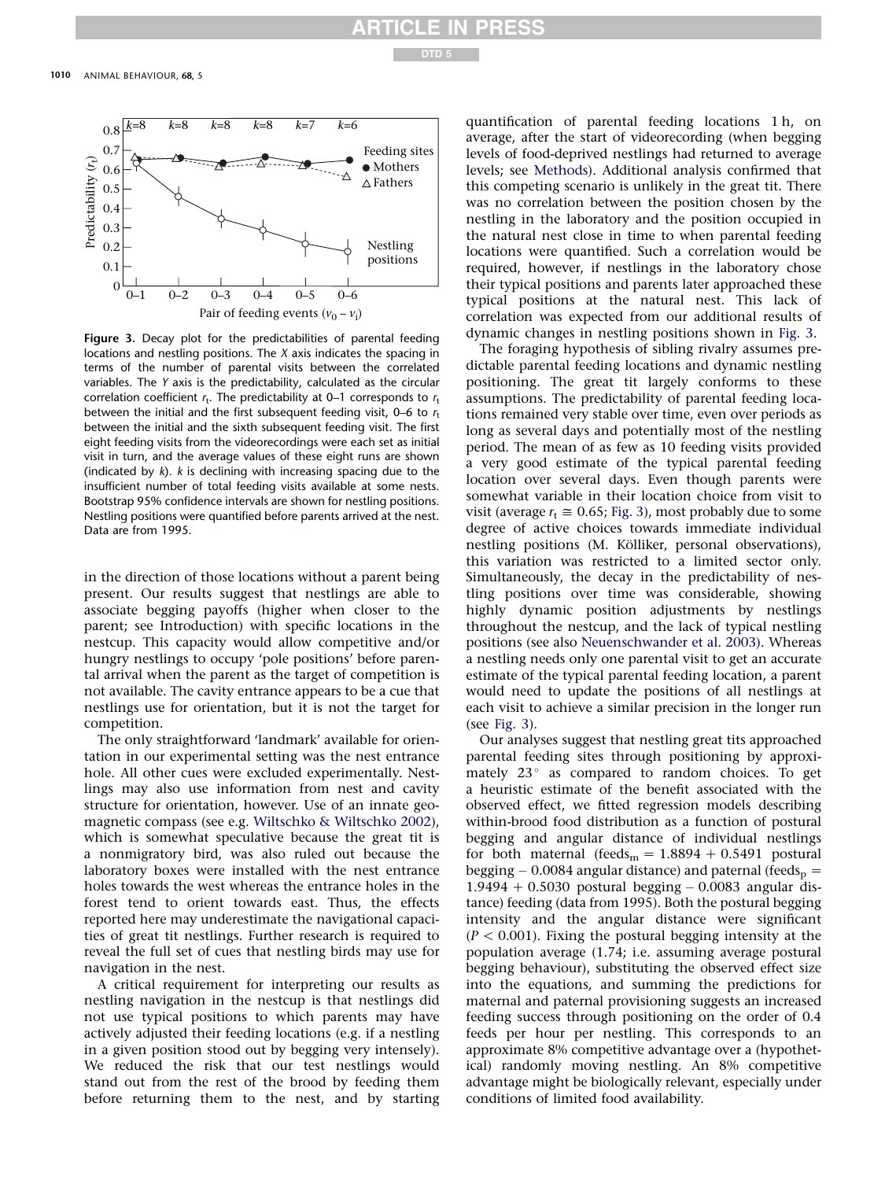# N PRESS

DTD 5

<span id="page-5-0"></span>

Figure 3. Decay plot for the predictabilities of parental feeding locations and nestling positions. The X axis indicates the spacing in terms of the number of parental visits between the correlated variables. The Y axis is the predictability, calculated as the circular correlation coefficient  $r_t$ . The predictability at 0–1 corresponds to  $r_t$ between the initial and the first subsequent feeding visit, 0–6 to  $r_t$ between the initial and the sixth subsequent feeding visit. The first eight feeding visits from the videorecordings were each set as initial visit in turn, and the average values of these eight runs are shown (indicated by  $k$ ). k is declining with increasing spacing due to the insufficient number of total feeding visits available at some nests. Bootstrap 95% confidence intervals are shown for nestling positions. Nestling positions were quantified before parents arrived at the nest. Data are from 1995.

in the direction of those locations without a parent being present. Our results suggest that nestlings are able to associate begging payoffs (higher when closer to the parent; see Introduction) with specific locations in the nestcup. This capacity would allow competitive and/or hungry nestlings to occupy 'pole positions' before parental arrival when the parent as the target of competition is not available. The cavity entrance appears to be a cue that nestlings use for orientation, but it is not the target for competition.

The only straightforward 'landmark' available for orientation in our experimental setting was the nest entrance hole. All other cues were excluded experimentally. Nestlings may also use information from nest and cavity structure for orientation, however. Use of an innate geomagnetic compass (see e.g. [Wiltschko & Wiltschko 2002](#page-7-0)), which is somewhat speculative because the great tit is a nonmigratory bird, was also ruled out because the laboratory boxes were installed with the nest entrance holes towards the west whereas the entrance holes in the forest tend to orient towards east. Thus, the effects reported here may underestimate the navigational capacities of great tit nestlings. Further research is required to reveal the full set of cues that nestling birds may use for navigation in the nest.

A critical requirement for interpreting our results as nestling navigation in the nestcup is that nestlings did not use typical positions to which parents may have actively adjusted their feeding locations (e.g. if a nestling in a given position stood out by begging very intensely). We reduced the risk that our test nestlings would stand out from the rest of the brood by feeding them before returning them to the nest, and by starting quantification of parental feeding locations 1 h, on average, after the start of videorecording (when begging levels of food-deprived nestlings had returned to average levels; see Methods). Additional analysis confirmed that this competing scenario is unlikely in the great tit. There was no correlation between the position chosen by the nestling in the laboratory and the position occupied in the natural nest close in time to when parental feeding locations were quantified. Such a correlation would be required, however, if nestlings in the laboratory chose their typical positions and parents later approached these typical positions at the natural nest. This lack of correlation was expected from our additional results of dynamic changes in nestling positions shown in Fig. 3.

The foraging hypothesis of sibling rivalry assumes predictable parental feeding locations and dynamic nestling positioning. The great tit largely conforms to these assumptions. The predictability of parental feeding locations remained very stable over time, even over periods as long as several days and potentially most of the nestling period. The mean of as few as 10 feeding visits provided a very good estimate of the typical parental feeding location over several days. Even though parents were somewhat variable in their location choice from visit to visit (average  $r_t \approx 0.65$ ; Fig. 3), most probably due to some degree of active choices towards immediate individual nestling positions (M. Kölliker, personal observations), this variation was restricted to a limited sector only. Simultaneously, the decay in the predictability of nestling positions over time was considerable, showing highly dynamic position adjustments by nestlings throughout the nestcup, and the lack of typical nestling positions (see also [Neuenschwander et al. 2003\)](#page-7-0). Whereas a nestling needs only one parental visit to get an accurate estimate of the typical parental feeding location, a parent would need to update the positions of all nestlings at each visit to achieve a similar precision in the longer run (see Fig. 3).

Our analyses suggest that nestling great tits approached parental feeding sites through positioning by approximately  $23^\circ$  as compared to random choices. To get a heuristic estimate of the benefit associated with the observed effect, we fitted regression models describing within-brood food distribution as a function of postural begging and angular distance of individual nestlings for both maternal (feeds<sub>m</sub> =  $1.8894 + 0.5491$  postural begging – 0.0084 angular distance) and paternal (feeds $_{\rm p}$  =  $1.9494 + 0.5030$  postural begging  $-0.0083$  angular distance) feeding (data from 1995). Both the postural begging intensity and the angular distance were significant  $(P < 0.001)$ . Fixing the postural begging intensity at the population average (1.74; i.e. assuming average postural begging behaviour), substituting the observed effect size into the equations, and summing the predictions for maternal and paternal provisioning suggests an increased feeding success through positioning on the order of 0.4 feeds per hour per nestling. This corresponds to an approximate 8% competitive advantage over a (hypothetical) randomly moving nestling. An 8% competitive advantage might be biologically relevant, especially under conditions of limited food availability.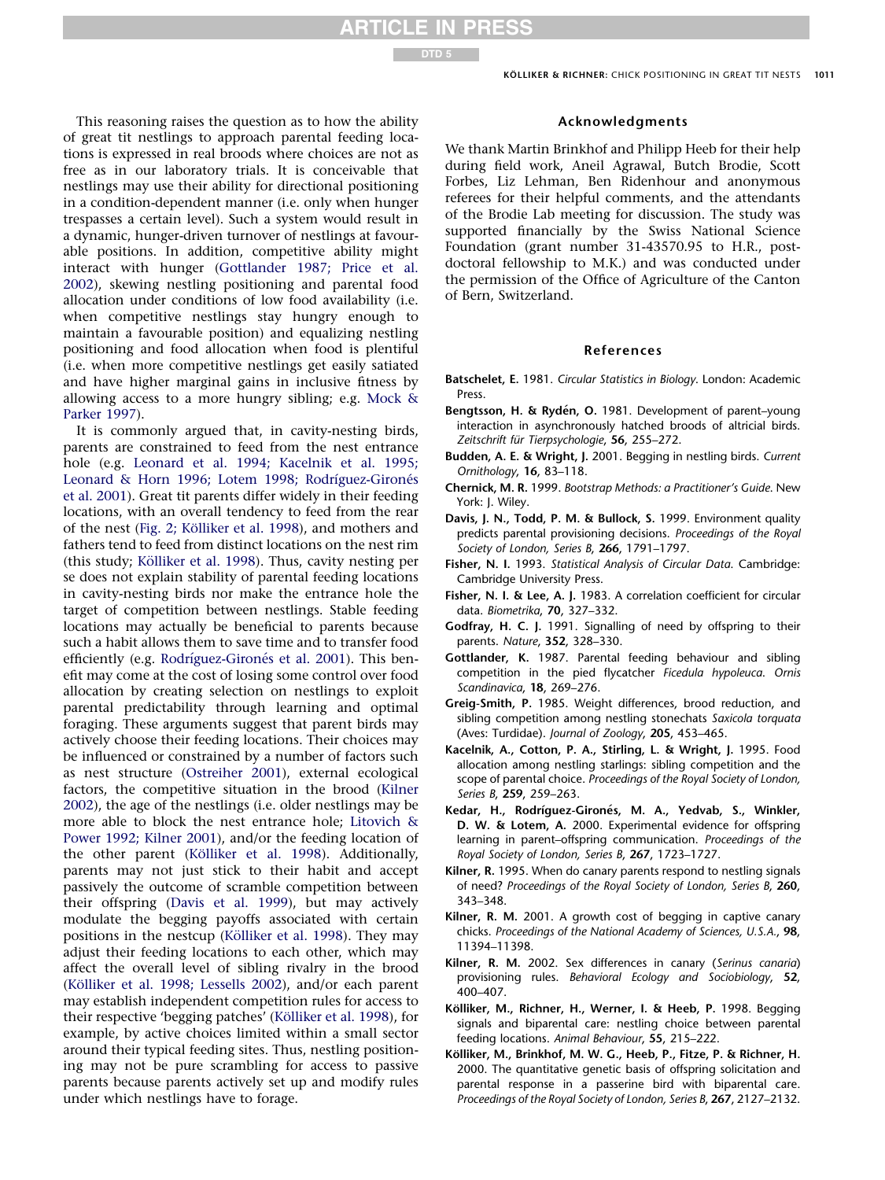

<span id="page-6-0"></span>This reasoning raises the question as to how the ability of great tit nestlings to approach parental feeding locations is expressed in real broods where choices are not as free as in our laboratory trials. It is conceivable that nestlings may use their ability for directional positioning in a condition-dependent manner (i.e. only when hunger trespasses a certain level). Such a system would result in a dynamic, hunger-driven turnover of nestlings at favourable positions. In addition, competitive ability might interact with hunger (Gottlander 1987; Price et al. 2002), skewing nestling positioning and parental food allocation under conditions of low food availability (i.e. when competitive nestlings stay hungry enough to maintain a favourable position) and equalizing nestling positioning and food allocation when food is plentiful (i.e. when more competitive nestlings get easily satiated and have higher marginal gains in inclusive fitness by allowing access to a more hungry sibling; e.g. [Mock &](#page-7-0) [Parker 1997\)](#page-7-0).

It is commonly argued that, in cavity-nesting birds, parents are constrained to feed from the nest entrance hole (e.g. [Leonard et al. 1994; Kacelnik et al. 1995;](#page-7-0) Leonard & Horn 1996; Lotem 1998; Rodríguez-Gironés [et al. 2001](#page-7-0)). Great tit parents differ widely in their feeding locations, with an overall tendency to feed from the rear of the nest (Fig. 2; Kölliker et al. 1998), and mothers and fathers tend to feed from distinct locations on the nest rim (this study; Kölliker et al. 1998). Thus, cavity nesting per se does not explain stability of parental feeding locations in cavity-nesting birds nor make the entrance hole the target of competition between nestlings. Stable feeding locations may actually be beneficial to parents because such a habit allows them to save time and to transfer food efficiently (e.g. Rodríguez-Gironés et al. 2001). This benefit may come at the cost of losing some control over food allocation by creating selection on nestlings to exploit parental predictability through learning and optimal foraging. These arguments suggest that parent birds may actively choose their feeding locations. Their choices may be influenced or constrained by a number of factors such as nest structure [\(Ostreiher 2001\)](#page-7-0), external ecological factors, the competitive situation in the brood (Kilner 2002), the age of the nestlings (i.e. older nestlings may be more able to block the nest entrance hole; [Litovich &](#page-7-0) [Power 1992; Kilner 2001](#page-7-0)), and/or the feeding location of the other parent (Kölliker et al. 1998). Additionally, parents may not just stick to their habit and accept passively the outcome of scramble competition between their offspring (Davis et al. 1999), but may actively modulate the begging payoffs associated with certain positions in the nestcup (Kölliker et al. 1998). They may adjust their feeding locations to each other, which may affect the overall level of sibling rivalry in the brood (Kölliker et al. 1998; Lessells 2002), and/or each parent may establish independent competition rules for access to their respective 'begging patches' (Kölliker et al. 1998), for example, by active choices limited within a small sector around their typical feeding sites. Thus, nestling positioning may not be pure scrambling for access to passive parents because parents actively set up and modify rules under which nestlings have to forage.

#### Acknowledgments

We thank Martin Brinkhof and Philipp Heeb for their help during field work, Aneil Agrawal, Butch Brodie, Scott Forbes, Liz Lehman, Ben Ridenhour and anonymous referees for their helpful comments, and the attendants of the Brodie Lab meeting for discussion. The study was supported financially by the Swiss National Science Foundation (grant number 31-43570.95 to H.R., postdoctoral fellowship to M.K.) and was conducted under the permission of the Office of Agriculture of the Canton of Bern, Switzerland.

#### References

- Batschelet, E. 1981. Circular Statistics in Biology. London: Academic Press.
- Bengtsson, H. & Rydén, O. 1981. Development of parent-young interaction in asynchronously hatched broods of altricial birds. Zeitschrift für Tierpsychologie, 56, 255-272.
- Budden, A. E. & Wright, J. 2001. Begging in nestling birds. Current Ornithology, 16, 83–118.
- Chernick, M. R. 1999. Bootstrap Methods: a Practitioner's Guide. New York: J. Wiley.
- Davis, J. N., Todd, P. M. & Bullock, S. 1999. Environment quality predicts parental provisioning decisions. Proceedings of the Royal Society of London, Series B, 266, 1791-1797.
- Fisher, N. I. 1993. Statistical Analysis of Circular Data. Cambridge: Cambridge University Press.
- Fisher, N. I. & Lee, A. J. 1983. A correlation coefficient for circular data. Biometrika, 70, 327–332.
- Godfray, H. C. J. 1991. Signalling of need by offspring to their parents. Nature, 352, 328–330.
- Gottlander, K. 1987. Parental feeding behaviour and sibling competition in the pied flycatcher Ficedula hypoleuca. Ornis Scandinavica, 18, 269–276.
- Greig-Smith, P. 1985. Weight differences, brood reduction, and sibling competition among nestling stonechats Saxicola torquata (Aves: Turdidae). Journal of Zoology, 205, 453–465.
- Kacelnik, A., Cotton, P. A., Stirling, L. & Wright, J. 1995. Food allocation among nestling starlings: sibling competition and the scope of parental choice. Proceedings of the Royal Society of London, Series B, 259, 259–263.
- Kedar, H., Rodríguez-Gironés, M. A., Yedvab, S., Winkler, D. W. & Lotem, A. 2000. Experimental evidence for offspring learning in parent–offspring communication. Proceedings of the Royal Society of London, Series B, 267, 1723–1727.
- Kilner, R. 1995. When do canary parents respond to nestling signals of need? Proceedings of the Royal Society of London, Series B, 260, 343–348.
- Kilner, R. M. 2001. A growth cost of begging in captive canary chicks. Proceedings of the National Academy of Sciences, U.S.A., 98, 11394–11398.
- Kilner, R. M. 2002. Sex differences in canary (Serinus canaria) provisioning rules. Behavioral Ecology and Sociobiology, 52, 400–407.
- Kölliker, M., Richner, H., Werner, I. & Heeb, P. 1998. Begging signals and biparental care: nestling choice between parental feeding locations. Animal Behaviour, 55, 215–222.
- Kölliker, M., Brinkhof, M. W. G., Heeb, P., Fitze, P. & Richner, H. 2000. The quantitative genetic basis of offspring solicitation and parental response in a passerine bird with biparental care. Proceedings of the Royal Society of London, Series B, 267, 2127–2132.